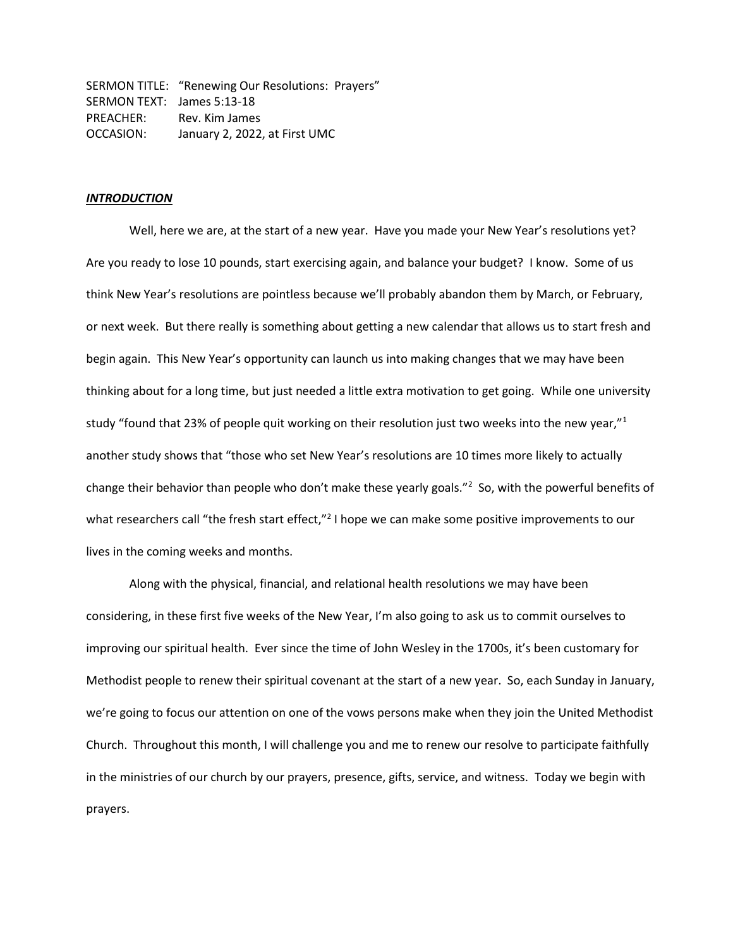SERMON TITLE: "Renewing Our Resolutions: Prayers" SERMON TEXT: James 5:13-18 PREACHER: Rev. Kim James OCCASION: January 2, 2022, at First UMC

## *INTRODUCTION*

Well, here we are, at the start of a new year. Have you made your New Year's resolutions yet? Are you ready to lose 10 pounds, start exercising again, and balance your budget? I know. Some of us think New Year's resolutions are pointless because we'll probably abandon them by March, or February, or next week. But there really is something about getting a new calendar that allows us to start fresh and begin again. This New Year's opportunity can launch us into making changes that we may have been thinking about for a long time, but just needed a little extra motivation to get going. While one university study "found that 23% of people quit working on their resolution just two weeks into the new year,"<sup>1</sup> another study shows that "those who set New Year's resolutions are 10 times more likely to actually change their behavior than people who don't make these yearly goals."<sup>2</sup> So, with the powerful benefits of what researchers call "the fresh start effect,"<sup>2</sup> I hope we can make some positive improvements to our lives in the coming weeks and months.

Along with the physical, financial, and relational health resolutions we may have been considering, in these first five weeks of the New Year, I'm also going to ask us to commit ourselves to improving our spiritual health. Ever since the time of John Wesley in the 1700s, it's been customary for Methodist people to renew their spiritual covenant at the start of a new year. So, each Sunday in January, we're going to focus our attention on one of the vows persons make when they join the United Methodist Church. Throughout this month, I will challenge you and me to renew our resolve to participate faithfully in the ministries of our church by our prayers, presence, gifts, service, and witness. Today we begin with prayers.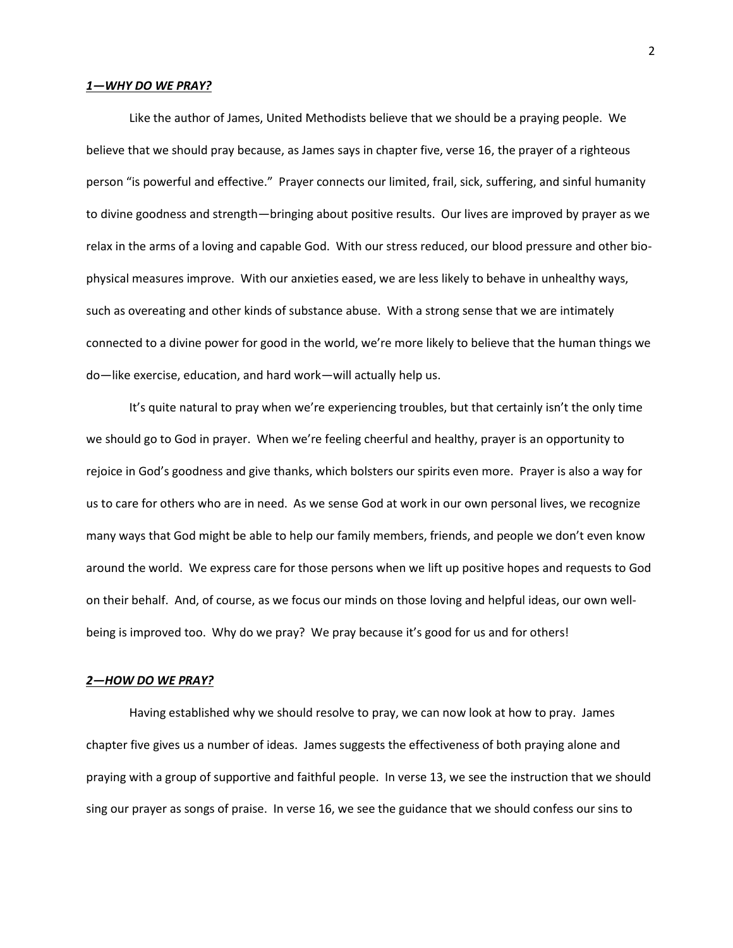### *1—WHY DO WE PRAY?*

Like the author of James, United Methodists believe that we should be a praying people. We believe that we should pray because, as James says in chapter five, verse 16, the prayer of a righteous person "is powerful and effective." Prayer connects our limited, frail, sick, suffering, and sinful humanity to divine goodness and strength—bringing about positive results. Our lives are improved by prayer as we relax in the arms of a loving and capable God. With our stress reduced, our blood pressure and other biophysical measures improve. With our anxieties eased, we are less likely to behave in unhealthy ways, such as overeating and other kinds of substance abuse. With a strong sense that we are intimately connected to a divine power for good in the world, we're more likely to believe that the human things we do—like exercise, education, and hard work—will actually help us.

It's quite natural to pray when we're experiencing troubles, but that certainly isn't the only time we should go to God in prayer. When we're feeling cheerful and healthy, prayer is an opportunity to rejoice in God's goodness and give thanks, which bolsters our spirits even more. Prayer is also a way for us to care for others who are in need. As we sense God at work in our own personal lives, we recognize many ways that God might be able to help our family members, friends, and people we don't even know around the world. We express care for those persons when we lift up positive hopes and requests to God on their behalf. And, of course, as we focus our minds on those loving and helpful ideas, our own wellbeing is improved too. Why do we pray? We pray because it's good for us and for others!

# *2—HOW DO WE PRAY?*

Having established why we should resolve to pray, we can now look at how to pray. James chapter five gives us a number of ideas. James suggests the effectiveness of both praying alone and praying with a group of supportive and faithful people. In verse 13, we see the instruction that we should sing our prayer as songs of praise. In verse 16, we see the guidance that we should confess our sins to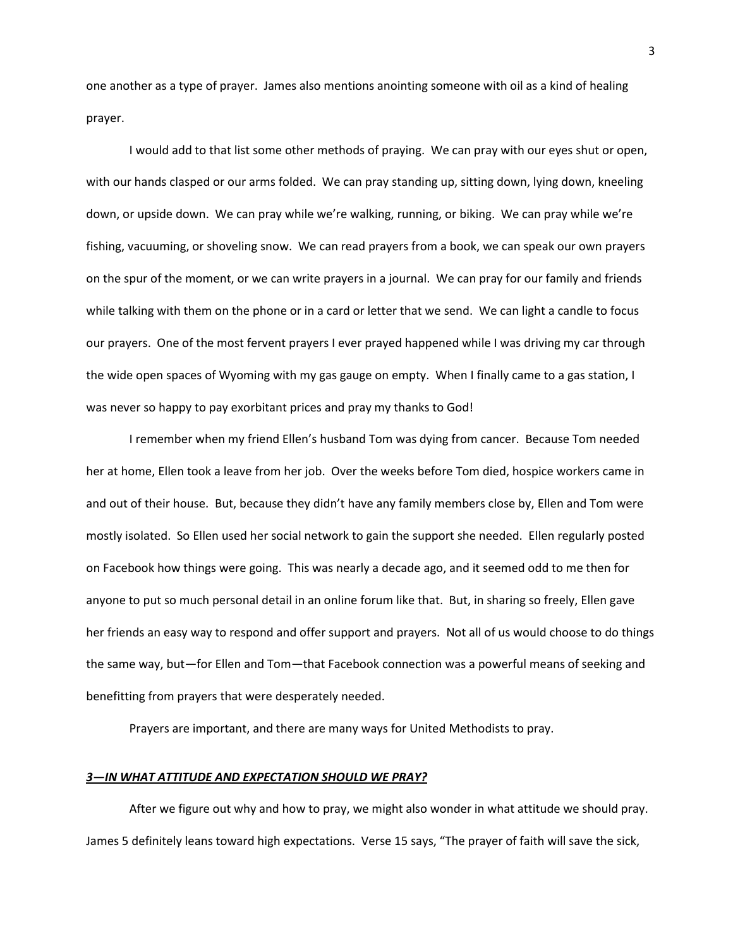one another as a type of prayer. James also mentions anointing someone with oil as a kind of healing prayer.

I would add to that list some other methods of praying. We can pray with our eyes shut or open, with our hands clasped or our arms folded. We can pray standing up, sitting down, lying down, kneeling down, or upside down. We can pray while we're walking, running, or biking. We can pray while we're fishing, vacuuming, or shoveling snow. We can read prayers from a book, we can speak our own prayers on the spur of the moment, or we can write prayers in a journal. We can pray for our family and friends while talking with them on the phone or in a card or letter that we send. We can light a candle to focus our prayers. One of the most fervent prayers I ever prayed happened while I was driving my car through the wide open spaces of Wyoming with my gas gauge on empty. When I finally came to a gas station, I was never so happy to pay exorbitant prices and pray my thanks to God!

I remember when my friend Ellen's husband Tom was dying from cancer. Because Tom needed her at home, Ellen took a leave from her job. Over the weeks before Tom died, hospice workers came in and out of their house. But, because they didn't have any family members close by, Ellen and Tom were mostly isolated. So Ellen used her social network to gain the support she needed. Ellen regularly posted on Facebook how things were going. This was nearly a decade ago, and it seemed odd to me then for anyone to put so much personal detail in an online forum like that. But, in sharing so freely, Ellen gave her friends an easy way to respond and offer support and prayers. Not all of us would choose to do things the same way, but—for Ellen and Tom—that Facebook connection was a powerful means of seeking and benefitting from prayers that were desperately needed.

Prayers are important, and there are many ways for United Methodists to pray.

#### *3—IN WHAT ATTITUDE AND EXPECTATION SHOULD WE PRAY?*

After we figure out why and how to pray, we might also wonder in what attitude we should pray. James 5 definitely leans toward high expectations. Verse 15 says, "The prayer of faith will save the sick,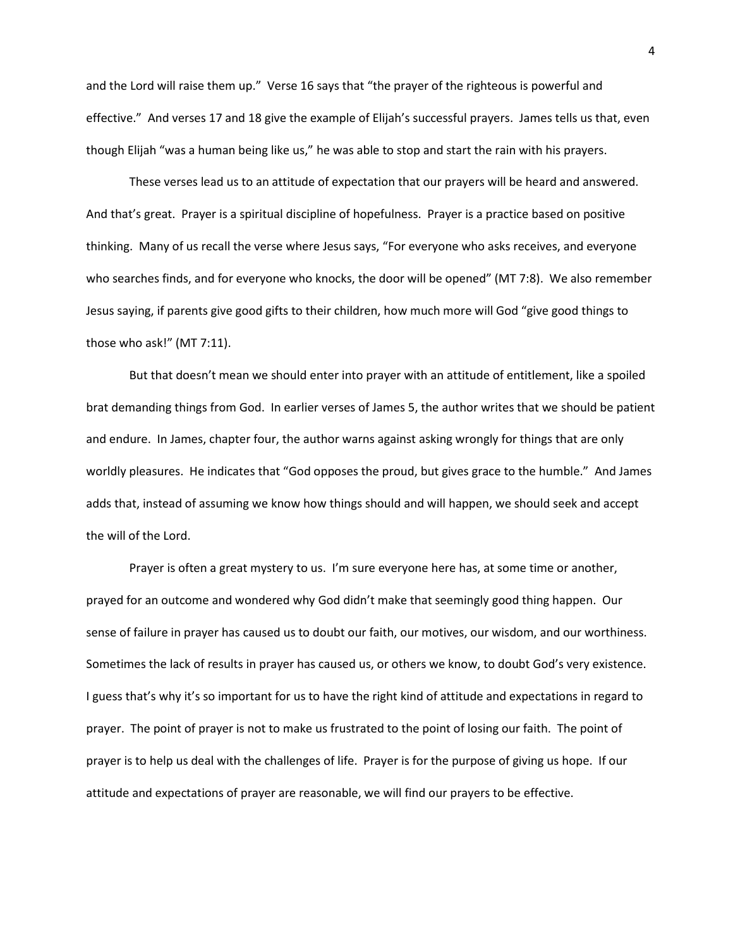and the Lord will raise them up." Verse 16 says that "the prayer of the righteous is powerful and effective." And verses 17 and 18 give the example of Elijah's successful prayers. James tells us that, even though Elijah "was a human being like us," he was able to stop and start the rain with his prayers.

These verses lead us to an attitude of expectation that our prayers will be heard and answered. And that's great. Prayer is a spiritual discipline of hopefulness. Prayer is a practice based on positive thinking. Many of us recall the verse where Jesus says, "For everyone who asks receives, and everyone who searches finds, and for everyone who knocks, the door will be opened" (MT 7:8). We also remember Jesus saying, if parents give good gifts to their children, how much more will God "give good things to those who ask!" (MT 7:11).

But that doesn't mean we should enter into prayer with an attitude of entitlement, like a spoiled brat demanding things from God. In earlier verses of James 5, the author writes that we should be patient and endure. In James, chapter four, the author warns against asking wrongly for things that are only worldly pleasures. He indicates that "God opposes the proud, but gives grace to the humble." And James adds that, instead of assuming we know how things should and will happen, we should seek and accept the will of the Lord.

Prayer is often a great mystery to us. I'm sure everyone here has, at some time or another, prayed for an outcome and wondered why God didn't make that seemingly good thing happen. Our sense of failure in prayer has caused us to doubt our faith, our motives, our wisdom, and our worthiness. Sometimes the lack of results in prayer has caused us, or others we know, to doubt God's very existence. I guess that's why it's so important for us to have the right kind of attitude and expectations in regard to prayer. The point of prayer is not to make us frustrated to the point of losing our faith. The point of prayer is to help us deal with the challenges of life. Prayer is for the purpose of giving us hope. If our attitude and expectations of prayer are reasonable, we will find our prayers to be effective.